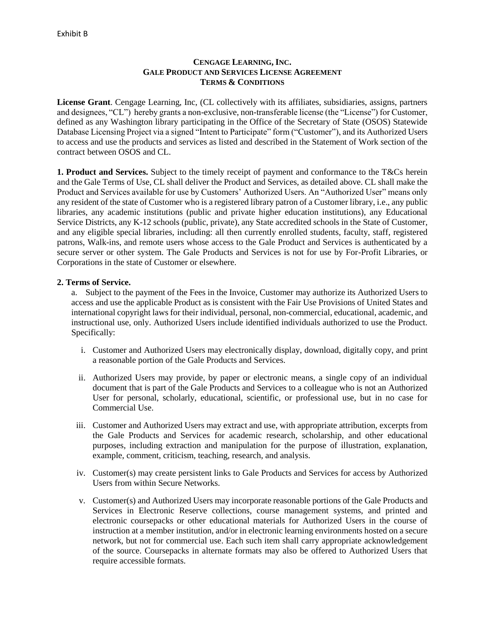## **CENGAGE LEARNING, INC. GALE PRODUCT AND SERVICES LICENSE AGREEMENT TERMS & CONDITIONS**

**License Grant**. Cengage Learning, Inc, (CL collectively with its affiliates, subsidiaries, assigns, partners and designees, "CL") hereby grants a non-exclusive, non-transferable license (the "License") for Customer, defined as any Washington library participating in the Office of the Secretary of State (OSOS) Statewide Database Licensing Project via a signed "Intent to Participate" form ("Customer"), and its Authorized Users to access and use the products and services as listed and described in the Statement of Work section of the contract between OSOS and CL.

**1. Product and Services.** Subject to the timely receipt of payment and conformance to the T&Cs herein and the Gale Terms of Use, CL shall deliver the Product and Services, as detailed above. CL shall make the Product and Services available for use by Customers' Authorized Users. An "Authorized User" means only any resident of the state of Customer who is a registered library patron of a Customer library, i.e., any public libraries, any academic institutions (public and private higher education institutions), any Educational Service Districts, any K-12 schools (public, private), any State accredited schools in the State of Customer, and any eligible special libraries, including: all then currently enrolled students, faculty, staff, registered patrons, Walk-ins, and remote users whose access to the Gale Product and Services is authenticated by a secure server or other system. The Gale Products and Services is not for use by For-Profit Libraries, or Corporations in the state of Customer or elsewhere.

## **2. Terms of Service.**

a. Subject to the payment of the Fees in the Invoice, Customer may authorize its Authorized Users to access and use the applicable Product as is consistent with the Fair Use Provisions of United States and international copyright laws for their individual, personal, non-commercial, educational, academic, and instructional use, only. Authorized Users include identified individuals authorized to use the Product. Specifically:

- i. Customer and Authorized Users may electronically display, download, digitally copy, and print a reasonable portion of the Gale Products and Services.
- ii. Authorized Users may provide, by paper or electronic means, a single copy of an individual document that is part of the Gale Products and Services to a colleague who is not an Authorized User for personal, scholarly, educational, scientific, or professional use, but in no case for Commercial Use.
- iii. Customer and Authorized Users may extract and use, with appropriate attribution, excerpts from the Gale Products and Services for academic research, scholarship, and other educational purposes, including extraction and manipulation for the purpose of illustration, explanation, example, comment, criticism, teaching, research, and analysis.
- iv. Customer(s) may create persistent links to Gale Products and Services for access by Authorized Users from within Secure Networks.
- v. Customer(s) and Authorized Users may incorporate reasonable portions of the Gale Products and Services in Electronic Reserve collections, course management systems, and printed and electronic coursepacks or other educational materials for Authorized Users in the course of instruction at a member institution, and/or in electronic learning environments hosted on a secure network, but not for commercial use. Each such item shall carry appropriate acknowledgement of the source. Coursepacks in alternate formats may also be offered to Authorized Users that require accessible formats.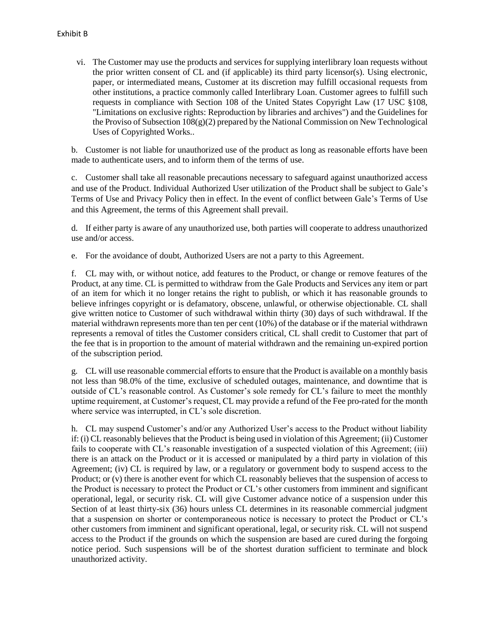vi. The Customer may use the products and services for supplying interlibrary loan requests without the prior written consent of CL and (if applicable) its third party licensor(s). Using electronic, paper, or intermediated means, Customer at its discretion may fulfill occasional requests from other institutions, a practice commonly called Interlibrary Loan. Customer agrees to fulfill such requests in compliance with Section 108 of the United States Copyright Law (17 USC §108, "Limitations on exclusive rights: Reproduction by libraries and archives") and the Guidelines for the Proviso of Subsection 108(g)(2) prepared by the National Commission on New Technological Uses of Copyrighted Works..

b. Customer is not liable for unauthorized use of the product as long as reasonable efforts have been made to authenticate users, and to inform them of the terms of use.

c. Customer shall take all reasonable precautions necessary to safeguard against unauthorized access and use of the Product. Individual Authorized User utilization of the Product shall be subject to Gale's Terms of Use and Privacy Policy then in effect. In the event of conflict between Gale's Terms of Use and this Agreement, the terms of this Agreement shall prevail.

d. If either party is aware of any unauthorized use, both parties will cooperate to address unauthorized use and/or access.

e. For the avoidance of doubt, Authorized Users are not a party to this Agreement.

f. CL may with, or without notice, add features to the Product, or change or remove features of the Product, at any time. CL is permitted to withdraw from the Gale Products and Services any item or part of an item for which it no longer retains the right to publish, or which it has reasonable grounds to believe infringes copyright or is defamatory, obscene, unlawful, or otherwise objectionable. CL shall give written notice to Customer of such withdrawal within thirty (30) days of such withdrawal. If the material withdrawn represents more than ten per cent (10%) of the database or if the material withdrawn represents a removal of titles the Customer considers critical, CL shall credit to Customer that part of the fee that is in proportion to the amount of material withdrawn and the remaining un-expired portion of the subscription period.

g. CL will use reasonable commercial efforts to ensure that the Product is available on a monthly basis not less than 98.0% of the time, exclusive of scheduled outages, maintenance, and downtime that is outside of CL's reasonable control. As Customer's sole remedy for CL's failure to meet the monthly uptime requirement, at Customer's request, CL may provide a refund of the Fee pro-rated for the month where service was interrupted, in CL's sole discretion.

h. CL may suspend Customer's and/or any Authorized User's access to the Product without liability if: (i) CL reasonably believes that the Product is being used in violation of this Agreement; (ii) Customer fails to cooperate with CL's reasonable investigation of a suspected violation of this Agreement; (iii) there is an attack on the Product or it is accessed or manipulated by a third party in violation of this Agreement; (iv) CL is required by law, or a regulatory or government body to suspend access to the Product; or (v) there is another event for which CL reasonably believes that the suspension of access to the Product is necessary to protect the Product or CL's other customers from imminent and significant operational, legal, or security risk. CL will give Customer advance notice of a suspension under this Section of at least thirty-six (36) hours unless CL determines in its reasonable commercial judgment that a suspension on shorter or contemporaneous notice is necessary to protect the Product or CL's other customers from imminent and significant operational, legal, or security risk. CL will not suspend access to the Product if the grounds on which the suspension are based are cured during the forgoing notice period. Such suspensions will be of the shortest duration sufficient to terminate and block unauthorized activity.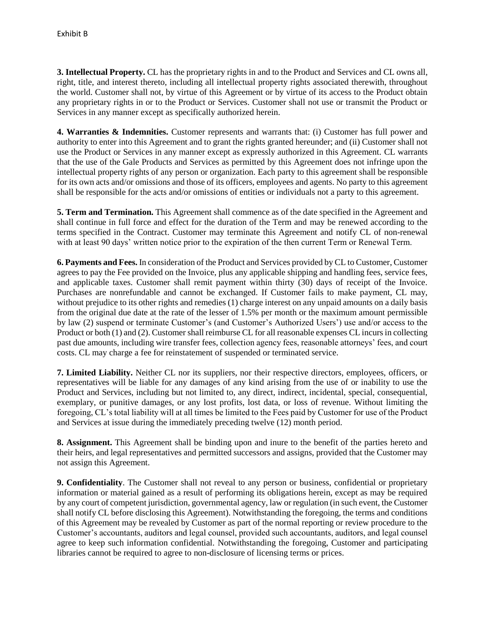**3. Intellectual Property.** CL has the proprietary rights in and to the Product and Services and CL owns all, right, title, and interest thereto, including all intellectual property rights associated therewith, throughout the world. Customer shall not, by virtue of this Agreement or by virtue of its access to the Product obtain any proprietary rights in or to the Product or Services. Customer shall not use or transmit the Product or Services in any manner except as specifically authorized herein.

**4. Warranties & Indemnities.** Customer represents and warrants that: (i) Customer has full power and authority to enter into this Agreement and to grant the rights granted hereunder; and (ii) Customer shall not use the Product or Services in any manner except as expressly authorized in this Agreement. CL warrants that the use of the Gale Products and Services as permitted by this Agreement does not infringe upon the intellectual property rights of any person or organization. Each party to this agreement shall be responsible for its own acts and/or omissions and those of its officers, employees and agents. No party to this agreement shall be responsible for the acts and/or omissions of entities or individuals not a party to this agreement.

**5. Term and Termination.** This Agreement shall commence as of the date specified in the Agreement and shall continue in full force and effect for the duration of the Term and may be renewed according to the terms specified in the Contract. Customer may terminate this Agreement and notify CL of non-renewal with at least 90 days' written notice prior to the expiration of the then current Term or Renewal Term.

**6. Payments and Fees.** In consideration of the Product and Services provided by CL to Customer, Customer agrees to pay the Fee provided on the Invoice, plus any applicable shipping and handling fees, service fees, and applicable taxes. Customer shall remit payment within thirty (30) days of receipt of the Invoice. Purchases are nonrefundable and cannot be exchanged. If Customer fails to make payment, CL may, without prejudice to its other rights and remedies (1) charge interest on any unpaid amounts on a daily basis from the original due date at the rate of the lesser of 1.5% per month or the maximum amount permissible by law (2) suspend or terminate Customer's (and Customer's Authorized Users') use and/or access to the Product or both (1) and (2). Customer shall reimburse CL for all reasonable expenses CL incurs in collecting past due amounts, including wire transfer fees, collection agency fees, reasonable attorneys' fees, and court costs. CL may charge a fee for reinstatement of suspended or terminated service.

**7. Limited Liability.** Neither CL nor its suppliers, nor their respective directors, employees, officers, or representatives will be liable for any damages of any kind arising from the use of or inability to use the Product and Services, including but not limited to, any direct, indirect, incidental, special, consequential, exemplary, or punitive damages, or any lost profits, lost data, or loss of revenue. Without limiting the foregoing, CL's total liability will at all times be limited to the Fees paid by Customer for use of the Product and Services at issue during the immediately preceding twelve (12) month period.

**8. Assignment.** This Agreement shall be binding upon and inure to the benefit of the parties hereto and their heirs, and legal representatives and permitted successors and assigns, provided that the Customer may not assign this Agreement.

**9. Confidentiality**. The Customer shall not reveal to any person or business, confidential or proprietary information or material gained as a result of performing its obligations herein, except as may be required by any court of competent jurisdiction, governmental agency, law or regulation (in such event, the Customer shall notify CL before disclosing this Agreement). Notwithstanding the foregoing, the terms and conditions of this Agreement may be revealed by Customer as part of the normal reporting or review procedure to the Customer's accountants, auditors and legal counsel, provided such accountants, auditors, and legal counsel agree to keep such information confidential. Notwithstanding the foregoing, Customer and participating libraries cannot be required to agree to non-disclosure of licensing terms or prices.